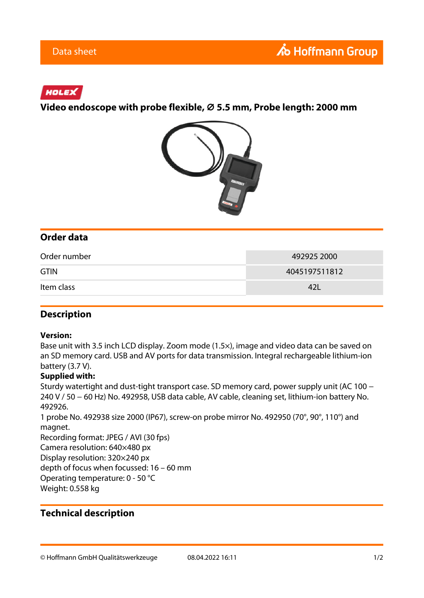## HOLEX

**Video endoscope with probe flexible, ⌀ 5.5 mm, Probe length: 2000 mm**



## **Order data**

| Order number | 492925 2000   |
|--------------|---------------|
| <b>GTIN</b>  | 4045197511812 |
| Item class   | 42L           |

### **Description**

#### **Version:**

Base unit with 3.5 inch LCD display. Zoom mode (1.5×), image and video data can be saved on an SD memory card. USB and AV ports for data transmission. Integral rechargeable lithium-ion battery (3.7 V).

#### **Supplied with:**

Sturdy watertight and dust-tight transport case. SD memory card, power supply unit (AC 100 − 240 V / 50 − 60 Hz) No. 492958, USB data cable, AV cable, cleaning set, lithium-ion battery No. 492926.

1 probe No. 492938 size 2000 (IP67), screw-on probe mirror No. 492950 (70°, 90°, 110°) and magnet.

Recording format: JPEG / AVI (30 fps) Camera resolution: 640×480 px Display resolution: 320×240 px depth of focus when focussed: 16 – 60 mm Operating temperature: 0 - 50 °C Weight: 0.558 kg

## **Technical description**